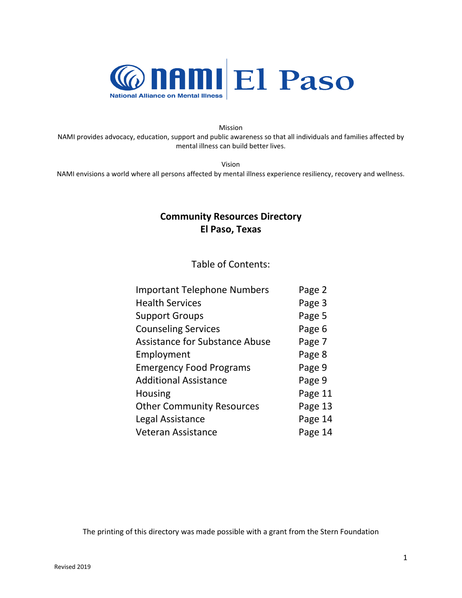

Mission NAMI provides advocacy, education, support and public awareness so that all individuals and families affected by mental illness can build better lives.

Vision

NAMI envisions a world where all persons affected by mental illness experience resiliency, recovery and wellness.

# **Community Resources Directory El Paso, Texas**

Table of Contents:

| <b>Important Telephone Numbers</b>    | Page 2  |
|---------------------------------------|---------|
| <b>Health Services</b>                | Page 3  |
| <b>Support Groups</b>                 | Page 5  |
| <b>Counseling Services</b>            | Page 6  |
| <b>Assistance for Substance Abuse</b> | Page 7  |
| Employment                            | Page 8  |
| <b>Emergency Food Programs</b>        | Page 9  |
| <b>Additional Assistance</b>          | Page 9  |
| <b>Housing</b>                        | Page 11 |
| <b>Other Community Resources</b>      | Page 13 |
| Legal Assistance                      | Page 14 |
| <b>Veteran Assistance</b>             | Page 14 |

The printing of this directory was made possible with a grant from the Stern Foundation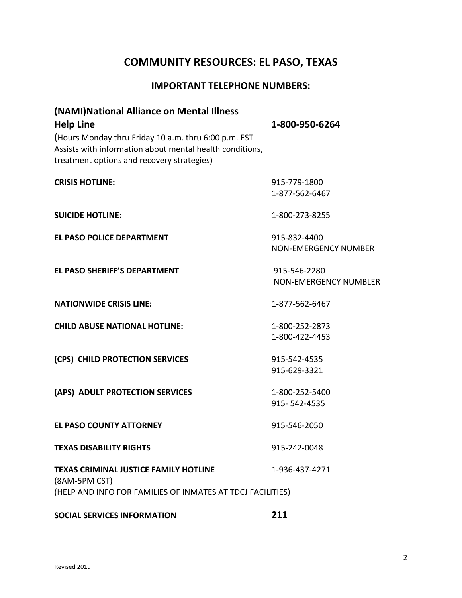# **COMMUNITY RESOURCES: EL PASO, TEXAS**

## **IMPORTANT TELEPHONE NUMBERS:**

| (NAMI) National Alliance on Mental Illness<br><b>Help Line</b><br>(Hours Monday thru Friday 10 a.m. thru 6:00 p.m. EST<br>Assists with information about mental health conditions,<br>treatment options and recovery strategies) | 1-800-950-6264                               |
|----------------------------------------------------------------------------------------------------------------------------------------------------------------------------------------------------------------------------------|----------------------------------------------|
| <b>CRISIS HOTLINE:</b>                                                                                                                                                                                                           | 915-779-1800<br>1-877-562-6467               |
| <b>SUICIDE HOTLINE:</b>                                                                                                                                                                                                          | 1-800-273-8255                               |
| <b>EL PASO POLICE DEPARTMENT</b>                                                                                                                                                                                                 | 915-832-4400<br>NON-EMERGENCY NUMBER         |
| <b>EL PASO SHERIFF'S DEPARTMENT</b>                                                                                                                                                                                              | 915-546-2280<br><b>NON-EMERGENCY NUMBLER</b> |
| <b>NATIONWIDE CRISIS LINE:</b>                                                                                                                                                                                                   | 1-877-562-6467                               |
| <b>CHILD ABUSE NATIONAL HOTLINE:</b>                                                                                                                                                                                             | 1-800-252-2873<br>1-800-422-4453             |
| (CPS) CHILD PROTECTION SERVICES                                                                                                                                                                                                  | 915-542-4535<br>915-629-3321                 |
| (APS) ADULT PROTECTION SERVICES                                                                                                                                                                                                  | 1-800-252-5400<br>915-542-4535               |
| <b>EL PASO COUNTY ATTORNEY</b>                                                                                                                                                                                                   | 915-546-2050                                 |
| <b>TEXAS DISABILITY RIGHTS</b>                                                                                                                                                                                                   | 915-242-0048                                 |
| <b>TEXAS CRIMINAL JUSTICE FAMILY HOTLINE</b><br>(8AM-5PM CST)<br>(HELP AND INFO FOR FAMILIES OF INMATES AT TDCJ FACILITIES)                                                                                                      | 1-936-437-4271                               |

# **SOCIAL SERVICES INFORMATION 211**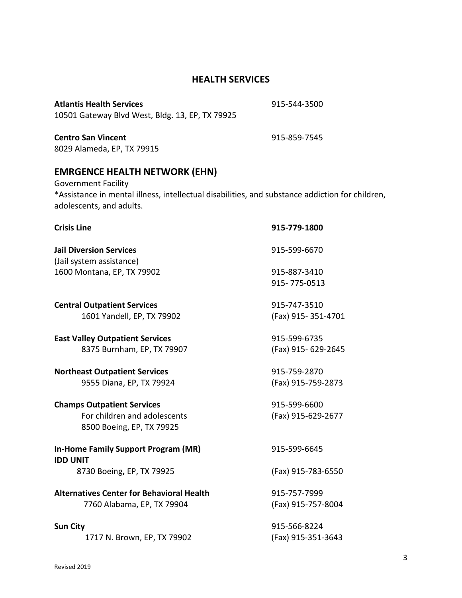## **HEALTH SERVICES**

**Atlantis Health Services** 915-544-3500 10501 Gateway Blvd West, Bldg. 13, EP, TX 79925

**Centro San Vincent** 915-859-7545 8029 Alameda, EP, TX 79915

# **EMRGENCE HEALTH NETWORK (EHN)**

Government Facility \*Assistance in mental illness, intellectual disabilities, and substance addiction for children, adolescents, and adults.

| <b>Crisis Line</b>                                            | 915-779-1800       |
|---------------------------------------------------------------|--------------------|
| <b>Jail Diversion Services</b><br>(Jail system assistance)    | 915-599-6670       |
| 1600 Montana, EP, TX 79902                                    | 915-887-3410       |
|                                                               | 915-775-0513       |
| <b>Central Outpatient Services</b>                            | 915-747-3510       |
| 1601 Yandell, EP, TX 79902                                    | (Fax) 915-351-4701 |
| <b>East Valley Outpatient Services</b>                        | 915-599-6735       |
| 8375 Burnham, EP, TX 79907                                    | (Fax) 915-629-2645 |
| <b>Northeast Outpatient Services</b>                          | 915-759-2870       |
| 9555 Diana, EP, TX 79924                                      | (Fax) 915-759-2873 |
| <b>Champs Outpatient Services</b>                             | 915-599-6600       |
| For children and adolescents<br>8500 Boeing, EP, TX 79925     | (Fax) 915-629-2677 |
| <b>In-Home Family Support Program (MR)</b><br><b>IDD UNIT</b> | 915-599-6645       |
| 8730 Boeing, EP, TX 79925                                     | (Fax) 915-783-6550 |
| <b>Alternatives Center for Behavioral Health</b>              | 915-757-7999       |
| 7760 Alabama, EP, TX 79904                                    | (Fax) 915-757-8004 |
| <b>Sun City</b>                                               | 915-566-8224       |
| 1717 N. Brown, EP, TX 79902                                   | (Fax) 915-351-3643 |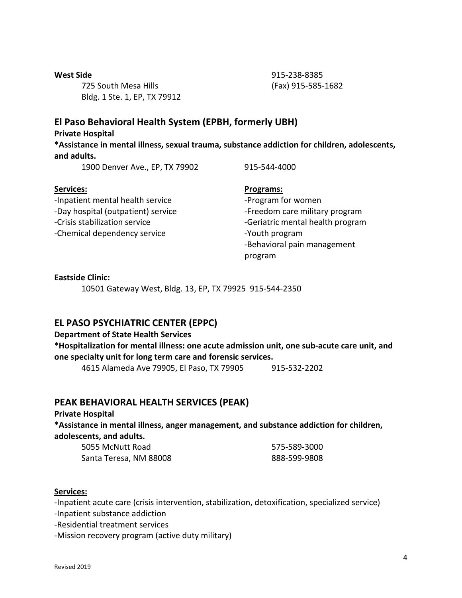725 South Mesa Hills (Fax) 915-585-1682 Bldg. 1 Ste. 1, EP, TX 79912

**West Side** 915-238-8385

## **El Paso Behavioral Health System (EPBH, formerly UBH)**

**Private Hospital**

**\*Assistance in mental illness, sexual trauma, substance addiction for children, adolescents, and adults.**

1900 Denver Ave., EP, TX 79902 915-544-4000

-Inpatient mental health service example the service of program for women -Day hospital (outpatient) service -Freedom care military program -Crisis stabilization service example and the service of the seriatric mental health program -Chemical dependency service - The Theorem -Youth program

#### Services: **Programs:** Programs:

-Behavioral pain management program

#### **Eastside Clinic:**

10501 Gateway West, Bldg. 13, EP, TX 79925 915-544-2350

## **EL PASO PSYCHIATRIC CENTER (EPPC)**

#### **Department of State Health Services**

**\*Hospitalization for mental illness: one acute admission unit, one sub-acute care unit, and one specialty unit for long term care and forensic services.**

4615 Alameda Ave 79905, El Paso, TX 79905 915-532-2202

## **PEAK BEHAVIORAL HEALTH SERVICES (PEAK)**

**Private Hospital**

**\*Assistance in mental illness, anger management, and substance addiction for children, adolescents, and adults.**

5055 McNutt Road 575-589-3000 Santa Teresa, NM 88008 888-599-9808

#### **Services:**

-Inpatient acute care (crisis intervention, stabilization, detoxification, specialized service)

-Inpatient substance addiction

-Residential treatment services

-Mission recovery program (active duty military)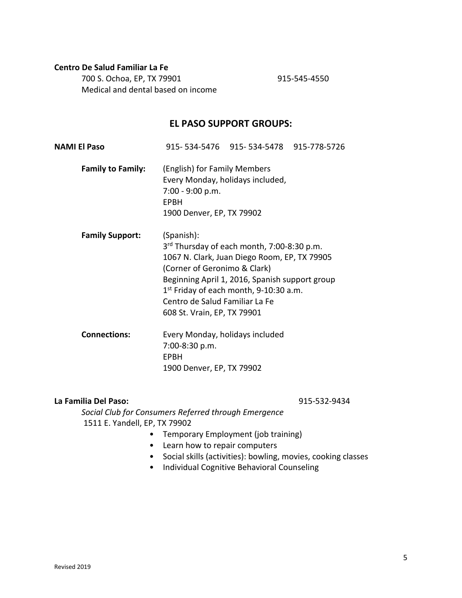#### **Centro De Salud Familiar La Fe**

700 S. Ochoa, EP, TX 79901 915-545-4550 Medical and dental based on income

#### **EL PASO SUPPORT GROUPS:**

| <b>NAMI El Paso</b>      |                                                                                                             | 915-534-5476 915-534-5478 915-778-5726                                                                                                                                                               |  |
|--------------------------|-------------------------------------------------------------------------------------------------------------|------------------------------------------------------------------------------------------------------------------------------------------------------------------------------------------------------|--|
| <b>Family to Family:</b> | (English) for Family Members<br>7:00 - 9:00 p.m.<br><b>EPBH</b><br>1900 Denver, EP, TX 79902                | Every Monday, holidays included,                                                                                                                                                                     |  |
| <b>Family Support:</b>   | (Spanish):<br>(Corner of Geronimo & Clark)<br>Centro de Salud Familiar La Fe<br>608 St. Vrain, EP, TX 79901 | 3 <sup>rd</sup> Thursday of each month, 7:00-8:30 p.m.<br>1067 N. Clark, Juan Diego Room, EP, TX 79905<br>Beginning April 1, 2016, Spanish support group<br>$1st$ Friday of each month, 9-10:30 a.m. |  |
| <b>Connections:</b>      | Every Monday, holidays included<br>7:00-8:30 p.m.<br>EPBH<br>1900 Denver, EP, TX 79902                      |                                                                                                                                                                                                      |  |

#### **La Familia Del Paso:** 915-532-9434

*Social Club for Consumers Referred through Emergence*  1511 E. Yandell, EP, TX 79902

- Temporary Employment (job training)
- Learn how to repair computers
- Social skills (activities): bowling, movies, cooking classes
- Individual Cognitive Behavioral Counseling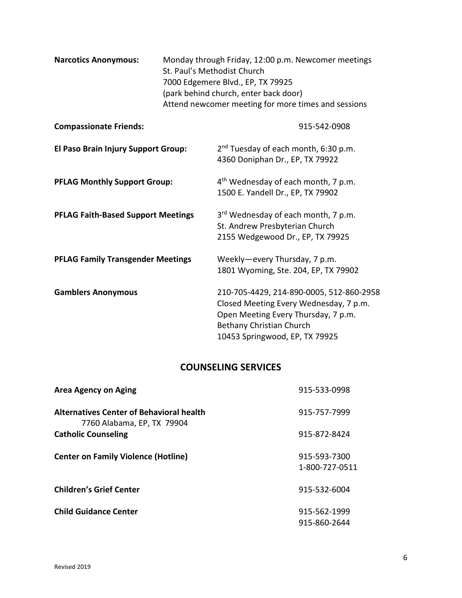| <b>Narcotics Anonymous:</b>               | Monday through Friday, 12:00 p.m. Newcomer meetings<br>St. Paul's Methodist Church<br>7000 Edgemere Blvd., EP, TX 79925<br>(park behind church, enter back door)<br>Attend newcomer meeting for more times and sessions |                                                                                                                                                                                         |
|-------------------------------------------|-------------------------------------------------------------------------------------------------------------------------------------------------------------------------------------------------------------------------|-----------------------------------------------------------------------------------------------------------------------------------------------------------------------------------------|
| <b>Compassionate Friends:</b>             |                                                                                                                                                                                                                         | 915-542-0908                                                                                                                                                                            |
| El Paso Brain Injury Support Group:       |                                                                                                                                                                                                                         | 2 <sup>nd</sup> Tuesday of each month, 6:30 p.m.<br>4360 Doniphan Dr., EP, TX 79922                                                                                                     |
| <b>PFLAG Monthly Support Group:</b>       |                                                                                                                                                                                                                         | 4 <sup>th</sup> Wednesday of each month, 7 p.m.<br>1500 E. Yandell Dr., EP, TX 79902                                                                                                    |
| <b>PFLAG Faith-Based Support Meetings</b> |                                                                                                                                                                                                                         | 3rd Wednesday of each month, 7 p.m.<br>St. Andrew Presbyterian Church<br>2155 Wedgewood Dr., EP, TX 79925                                                                               |
| <b>PFLAG Family Transgender Meetings</b>  |                                                                                                                                                                                                                         | Weekly-every Thursday, 7 p.m.<br>1801 Wyoming, Ste. 204, EP, TX 79902                                                                                                                   |
| <b>Gamblers Anonymous</b>                 |                                                                                                                                                                                                                         | 210-705-4429, 214-890-0005, 512-860-2958<br>Closed Meeting Every Wednesday, 7 p.m.<br>Open Meeting Every Thursday, 7 p.m.<br>Bethany Christian Church<br>10453 Springwood, EP, TX 79925 |

# **COUNSELING SERVICES**

| <b>Area Agency on Aging</b>                                                   | 915-533-0998                   |
|-------------------------------------------------------------------------------|--------------------------------|
| <b>Alternatives Center of Behavioral health</b><br>7760 Alabama, EP, TX 79904 | 915-757-7999                   |
| <b>Catholic Counseling</b>                                                    | 915-872-8424                   |
| <b>Center on Family Violence (Hotline)</b>                                    | 915-593-7300<br>1-800-727-0511 |
| <b>Children's Grief Center</b>                                                | 915-532-6004                   |
| <b>Child Guidance Center</b>                                                  | 915-562-1999<br>915-860-2644   |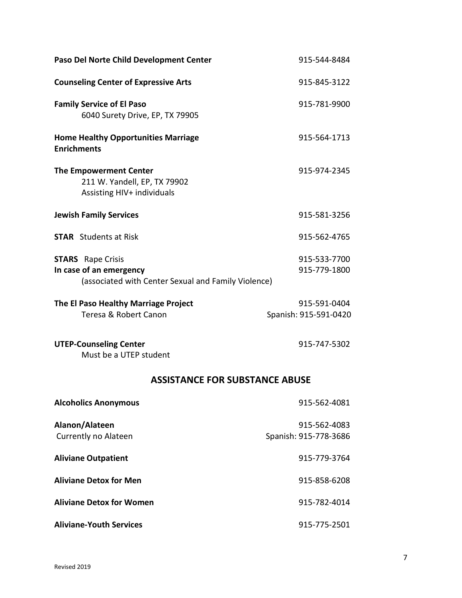| Paso Del Norte Child Development Center                                                                    | 915-544-8484                          |
|------------------------------------------------------------------------------------------------------------|---------------------------------------|
| <b>Counseling Center of Expressive Arts</b>                                                                | 915-845-3122                          |
| <b>Family Service of El Paso</b><br>6040 Surety Drive, EP, TX 79905                                        | 915-781-9900                          |
| <b>Home Healthy Opportunities Marriage</b><br><b>Enrichments</b>                                           | 915-564-1713                          |
| <b>The Empowerment Center</b><br>211 W. Yandell, EP, TX 79902<br>Assisting HIV+ individuals                | 915-974-2345                          |
| <b>Jewish Family Services</b>                                                                              | 915-581-3256                          |
| <b>STAR</b> Students at Risk                                                                               | 915-562-4765                          |
| <b>STARS</b> Rape Crisis<br>In case of an emergency<br>(associated with Center Sexual and Family Violence) | 915-533-7700<br>915-779-1800          |
| The El Paso Healthy Marriage Project<br>Teresa & Robert Canon                                              | 915-591-0404<br>Spanish: 915-591-0420 |
| <b>UTEP-Counseling Center</b><br>Must be a UTEP student                                                    | 915-747-5302                          |
| <b>ASSISTANCE FOR SUBSTANCE ABUSE</b>                                                                      |                                       |
| <b>Alcoholics Anonymous</b>                                                                                | 915-562-4081                          |
| Alanon/Alateen<br>Currently no Alateen                                                                     | 915-562-4083<br>Spanish: 915-778-3686 |
| <b>Aliviane Outpatient</b>                                                                                 | 915-779-3764                          |
| <b>Aliviane Detox for Men</b>                                                                              | 915-858-6208                          |
| <b>Aliviane Detox for Women</b>                                                                            | 915-782-4014                          |
| <b>Aliviane-Youth Services</b>                                                                             | 915-775-2501                          |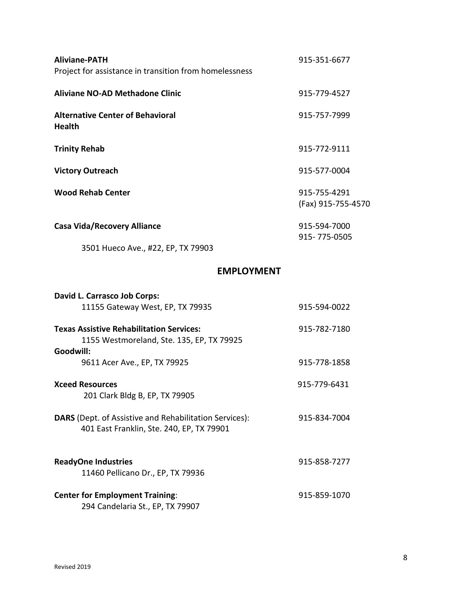| <b>Aliviane-PATH</b><br>Project for assistance in transition from homelessness                            | 915-351-6677                       |
|-----------------------------------------------------------------------------------------------------------|------------------------------------|
| <b>Aliviane NO-AD Methadone Clinic</b>                                                                    | 915-779-4527                       |
| <b>Alternative Center of Behavioral</b><br><b>Health</b>                                                  | 915-757-7999                       |
| <b>Trinity Rehab</b>                                                                                      | 915-772-9111                       |
| <b>Victory Outreach</b>                                                                                   | 915-577-0004                       |
| <b>Wood Rehab Center</b>                                                                                  | 915-755-4291<br>(Fax) 915-755-4570 |
| <b>Casa Vida/Recovery Alliance</b>                                                                        | 915-594-7000<br>915-775-0505       |
| 3501 Hueco Ave., #22, EP, TX 79903                                                                        |                                    |
| <b>EMPLOYMENT</b>                                                                                         |                                    |
| David L. Carrasco Job Corps:<br>11155 Gateway West, EP, TX 79935                                          | 915-594-0022                       |
| <b>Texas Assistive Rehabilitation Services:</b><br>1155 Westmoreland, Ste. 135, EP, TX 79925<br>Goodwill: | 915-782-7180                       |
| 9611 Acer Ave., EP, TX 79925                                                                              | 915-778-1858                       |
| <b>Xceed Resources</b><br>201 Clark Bldg B, EP, TX 79905                                                  | 915-779-6431                       |
| DARS (Dept. of Assistive and Rehabilitation Services):<br>401 East Franklin, Ste. 240, EP, TX 79901       | 915-834-7004                       |
| <b>ReadyOne Industries</b><br>11460 Pellicano Dr., EP, TX 79936                                           | 915-858-7277                       |

**Center for Employment Training**: 915-859-1070 294 Candelaria St., EP, TX 79907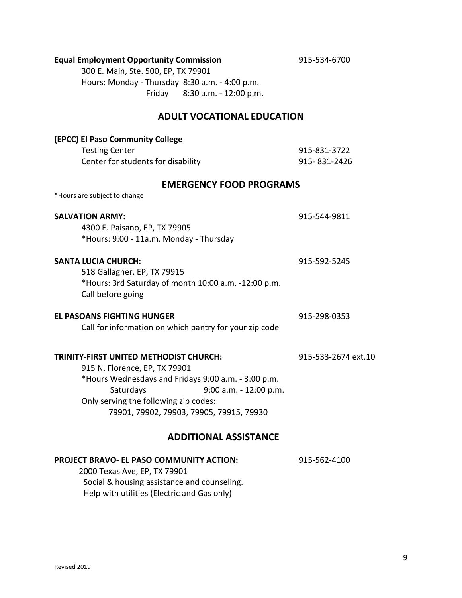### **Equal Employment Opportunity Commission** 915-534-6700

300 E. Main, Ste. 500, EP, TX 79901 Hours: Monday - Thursday 8:30 a.m. - 4:00 p.m. Friday 8:30 a.m. - 12:00 p.m.

### **ADULT VOCATIONAL EDUCATION**

| (EPCC) El Paso Community College                       |                     |
|--------------------------------------------------------|---------------------|
| <b>Testing Center</b>                                  | 915-831-3722        |
| Center for students for disability                     | 915-831-2426        |
| <b>EMERGENCY FOOD PROGRAMS</b>                         |                     |
| *Hours are subject to change                           |                     |
| <b>SALVATION ARMY:</b>                                 | 915-544-9811        |
| 4300 E. Paisano, EP, TX 79905                          |                     |
| *Hours: 9:00 - 11a.m. Monday - Thursday                |                     |
| <b>SANTA LUCIA CHURCH:</b>                             | 915-592-5245        |
| 518 Gallagher, EP, TX 79915                            |                     |
| *Hours: 3rd Saturday of month 10:00 a.m. -12:00 p.m.   |                     |
| Call before going                                      |                     |
| <b>EL PASOANS FIGHTING HUNGER</b>                      | 915-298-0353        |
| Call for information on which pantry for your zip code |                     |
| TRINITY-FIRST UNITED METHODIST CHURCH:                 | 915-533-2674 ext.10 |
| 915 N. Florence, EP, TX 79901                          |                     |
| *Hours Wednesdays and Fridays 9:00 a.m. - 3:00 p.m.    |                     |
| Saturdays<br>9:00 a.m. - 12:00 p.m.                    |                     |
| Only serving the following zip codes:                  |                     |
| 79901, 79902, 79903, 79905, 79915, 79930               |                     |
| <b>ADDITIONAL ASSISTANCE</b>                           |                     |
| PROJECT BRAVO- EL PASO COMMUNITY ACTION:               | 915-562-4100        |
|                                                        |                     |

 2000 Texas Ave, EP, TX 79901 Social & housing assistance and counseling. Help with utilities (Electric and Gas only)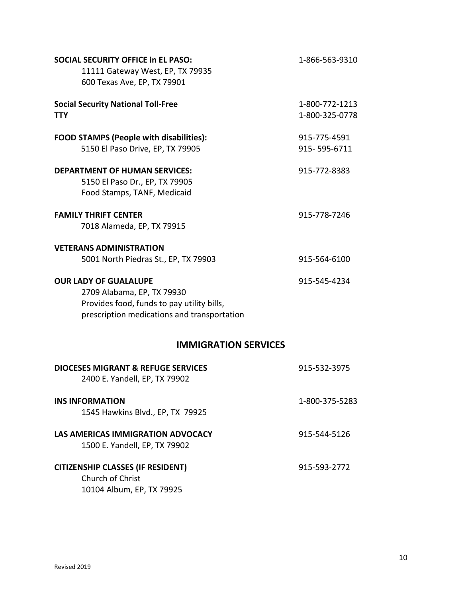| <b>SOCIAL SECURITY OFFICE in EL PASO:</b><br>11111 Gateway West, EP, TX 79935<br>600 Texas Ave, EP, TX 79901                                            | 1-866-563-9310                   |
|---------------------------------------------------------------------------------------------------------------------------------------------------------|----------------------------------|
| <b>Social Security National Toll-Free</b><br>TTY.                                                                                                       | 1-800-772-1213<br>1-800-325-0778 |
| <b>FOOD STAMPS (People with disabilities):</b><br>5150 El Paso Drive, EP, TX 79905                                                                      | 915-775-4591<br>915-595-6711     |
| <b>DEPARTMENT OF HUMAN SERVICES:</b><br>5150 El Paso Dr., EP, TX 79905<br>Food Stamps, TANF, Medicaid                                                   | 915-772-8383                     |
| <b>FAMILY THRIFT CENTER</b><br>7018 Alameda, EP, TX 79915                                                                                               | 915-778-7246                     |
| <b>VETERANS ADMINISTRATION</b><br>5001 North Piedras St., EP, TX 79903                                                                                  | 915-564-6100                     |
| <b>OUR LADY OF GUALALUPE</b><br>2709 Alabama, EP, TX 79930<br>Provides food, funds to pay utility bills,<br>prescription medications and transportation | 915-545-4234                     |
| <b>IMMIGRATION SERVICES</b>                                                                                                                             |                                  |
| <b>DIOCESES MIGRANT &amp; REFUGE SERVICES</b><br>2400 E. Yandell, EP, TX 79902                                                                          | 915-532-3975                     |
| <b>INS INFORMATION</b><br>1545 Hawkins Blvd., EP, TX 79925                                                                                              | 1-800-375-5283                   |
| LAS AMERICAS IMMIGRATION ADVOCACY<br>1500 E. Yandell, EP, TX 79902                                                                                      | 915-544-5126                     |
| <b>CITIZENSHIP CLASSES (IF RESIDENT)</b><br>Church of Christ<br>10104 Album, EP, TX 79925                                                               | 915-593-2772                     |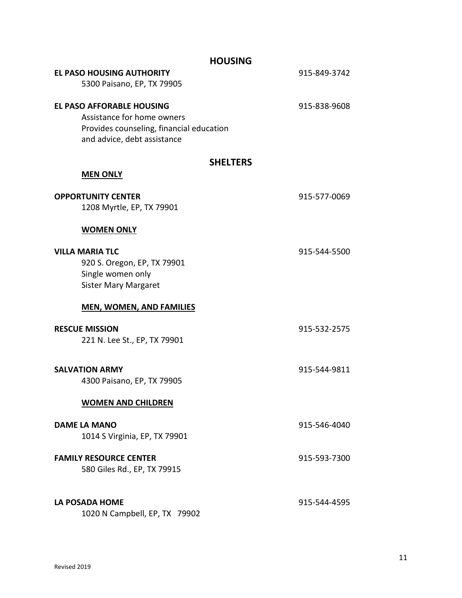|                                                                                                                                           | <b>HOUSING</b>  |              |
|-------------------------------------------------------------------------------------------------------------------------------------------|-----------------|--------------|
| <b>EL PASO HOUSING AUTHORITY</b><br>5300 Paisano, EP, TX 79905                                                                            |                 | 915-849-3742 |
| <b>EL PASO AFFORABLE HOUSING</b><br>Assistance for home owners<br>Provides counseling, financial education<br>and advice, debt assistance |                 | 915-838-9608 |
| <b>MEN ONLY</b>                                                                                                                           | <b>SHELTERS</b> |              |
| <b>OPPORTUNITY CENTER</b><br>1208 Myrtle, EP, TX 79901                                                                                    |                 | 915-577-0069 |
| <b>WOMEN ONLY</b>                                                                                                                         |                 |              |
| <b>VILLA MARIA TLC</b><br>920 S. Oregon, EP, TX 79901<br>Single women only<br><b>Sister Mary Margaret</b>                                 |                 | 915-544-5500 |
| <b>MEN, WOMEN, AND FAMILIES</b>                                                                                                           |                 |              |
| <b>RESCUE MISSION</b><br>221 N. Lee St., EP, TX 79901                                                                                     |                 | 915-532-2575 |
| <b>SALVATION ARMY</b><br>4300 Paisano, EP, TX 79905                                                                                       |                 | 915-544-9811 |
| <b>WOMEN AND CHILDREN</b>                                                                                                                 |                 |              |
| <b>DAME LA MANO</b><br>1014 S Virginia, EP, TX 79901                                                                                      |                 | 915-546-4040 |
| <b>FAMILY RESOURCE CENTER</b><br>580 Giles Rd., EP, TX 79915                                                                              |                 | 915-593-7300 |
| LA POSADA HOME<br>1020 N Campbell, EP, TX 79902                                                                                           |                 | 915-544-4595 |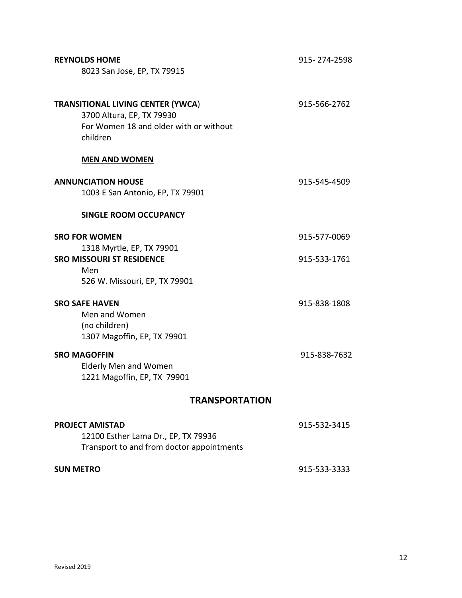| <b>REYNOLDS HOME</b><br>8023 San Jose, EP, TX 79915                                                                         | 915-274-2598 |
|-----------------------------------------------------------------------------------------------------------------------------|--------------|
| <b>TRANSITIONAL LIVING CENTER (YWCA)</b><br>3700 Altura, EP, TX 79930<br>For Women 18 and older with or without<br>children | 915-566-2762 |
| <b>MEN AND WOMEN</b>                                                                                                        |              |
| <b>ANNUNCIATION HOUSE</b><br>1003 E San Antonio, EP, TX 79901                                                               | 915-545-4509 |
| <b>SINGLE ROOM OCCUPANCY</b>                                                                                                |              |
| <b>SRO FOR WOMEN</b>                                                                                                        | 915-577-0069 |
| 1318 Myrtle, EP, TX 79901<br><b>SRO MISSOURI ST RESIDENCE</b><br>Men<br>526 W. Missouri, EP, TX 79901                       | 915-533-1761 |
| <b>SRO SAFE HAVEN</b><br>Men and Women<br>(no children)<br>1307 Magoffin, EP, TX 79901                                      | 915-838-1808 |
| <b>SRO MAGOFFIN</b><br><b>Elderly Men and Women</b><br>1221 Magoffin, EP, TX 79901                                          | 915-838-7632 |
| <b>TRANSPORTATION</b>                                                                                                       |              |
| <b>PROJECT AMISTAD</b><br>12100 Esther Lama Dr., EP, TX 79936<br>Transport to and from doctor appointments                  | 915-532-3415 |
| <b>SUN METRO</b>                                                                                                            | 915-533-3333 |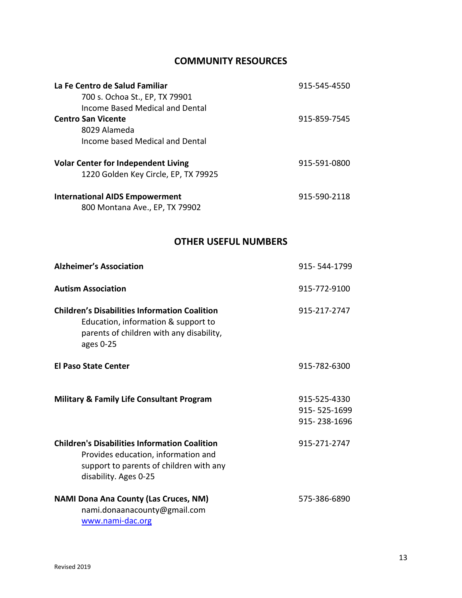## **COMMUNITY RESOURCES**

| La Fe Centro de Salud Familiar             | 915-545-4550 |
|--------------------------------------------|--------------|
| 700 s. Ochoa St., EP, TX 79901             |              |
| Income Based Medical and Dental            |              |
| <b>Centro San Vicente</b>                  | 915-859-7545 |
| 8029 Alameda                               |              |
| Income based Medical and Dental            |              |
| <b>Volar Center for Independent Living</b> | 915-591-0800 |
| 1220 Golden Key Circle, EP, TX 79925       |              |
| <b>International AIDS Empowerment</b>      | 915-590-2118 |
| 800 Montana Ave., EP, TX 79902             |              |

## **OTHER USEFUL NUMBERS**

| <b>Alzheimer's Association</b>                                                                                                                                  | 915-544-1799                                 |
|-----------------------------------------------------------------------------------------------------------------------------------------------------------------|----------------------------------------------|
| <b>Autism Association</b>                                                                                                                                       | 915-772-9100                                 |
| <b>Children's Disabilities Information Coalition</b><br>Education, information & support to<br>parents of children with any disability,<br>ages 0-25            | 915-217-2747                                 |
| <b>El Paso State Center</b>                                                                                                                                     | 915-782-6300                                 |
| <b>Military &amp; Family Life Consultant Program</b>                                                                                                            | 915-525-4330<br>915-525-1699<br>915-238-1696 |
| <b>Children's Disabilities Information Coalition</b><br>Provides education, information and<br>support to parents of children with any<br>disability. Ages 0-25 | 915-271-2747                                 |
| <b>NAMI Dona Ana County (Las Cruces, NM)</b><br>nami.donaanacounty@gmail.com<br>www.nami-dac.org                                                                | 575-386-6890                                 |